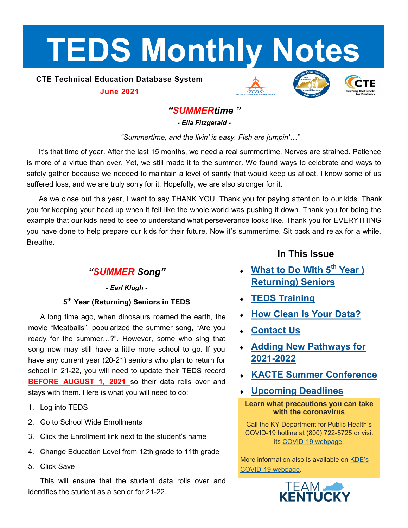# <span id="page-0-0"></span>**TEDS Monthly Notes**

## **CTE Technical Education Database System June 2021**







# *"SUMMERtime "*

*- Ella Fitzgerald -*

*"Summertime, and the livin' is easy. Fish are jumpin'…"*

It's that time of year. After the last 15 months, we need a real summertime. Nerves are strained. Patience is more of a virtue than ever. Yet, we still made it to the summer. We found ways to celebrate and ways to safely gather because we needed to maintain a level of sanity that would keep us afloat. I know some of us suffered loss, and we are truly sorry for it. Hopefully, we are also stronger for it.

As we close out this year, I want to say THANK YOU. Thank you for paying attention to our kids. Thank you for keeping your head up when it felt like the whole world was pushing it down. Thank you for being the example that our kids need to see to understand what perseverance looks like. Thank you for EVERYTHING you have done to help prepare our kids for their future. Now it's summertime. Sit back and relax for a while. Breathe.

# *"SUMMER Song"*

## *- Earl Klugh -*

## **5 th Year (Returning) Seniors in TEDS**

A long time ago, when dinosaurs roamed the earth, the movie "Meatballs", popularized the summer song, "Are you ready for the summer…?". However, some who sing that song now may still have a little more school to go. If you have any current year (20-21) seniors who plan to return for school in 21-22, you will need to update their TEDS record **BEFORE AUGUST 1, 2021** so their data rolls over and stays with them. Here is what you will need to do:

- 1. Log into TEDS
- 2. Go to School Wide Enrollments
- 3. Click the Enrollment link next to the student's name
- 4. Change Education Level from 12th grade to 11th grade
- 5. Click Save

This will ensure that the student data rolls over and identifies the student as a senior for 21-22.

## **In This Issue**

- **[What to Do With 5](#page-0-0)th Year ) [Returning\) Seniors](#page-0-0)**
- **[TEDS Training](#page-1-0)**
- **[How Clean Is Your Data?](#page-1-0)**
- **[Contact Us](#page-1-0)**
- **[Adding New Pathways for](#page-2-0)  [2021](#page-2-0)-2022**
- **[KACTE Summer Conference](#page-2-0)**
- **[Upcoming Deadlines](#page-2-0)**

**Learn what precautions you can take with the coronavirus**

Call the KY Department for Public Health's COVID-19 hotline at (800) 722-5725 or visit its COVID-[19 webpage.](https://chfs.ky.gov/agencies/dph/pages/covid19.aspx)

More information also is available on [KDE](https://education.ky.gov/comm/Pages/COVID-19-Updates.aspx)'s COVID-[19 webpage.](https://education.ky.gov/comm/Pages/COVID-19-Updates.aspx)

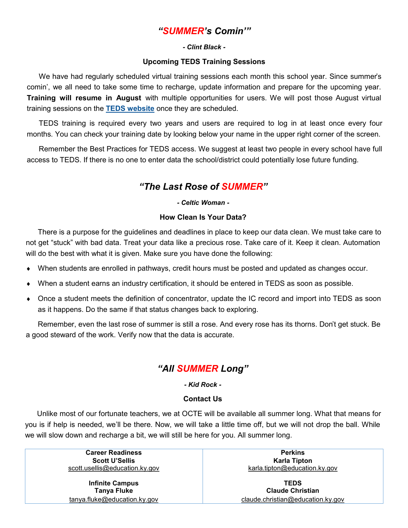# *"SUMMER's Comin'"*

#### *- Clint Black -*

#### **Upcoming TEDS Training Sessions**

<span id="page-1-0"></span>We have had regularly scheduled virtual training sessions each month this school year. Since summer's comin', we all need to take some time to recharge, update information and prepare for the upcoming year. **Training will resume in August** with multiple opportunities for users. We will post those August virtual training sessions on the **[TEDS website](https://education.ky.gov/CTE/teds/Pages/default.aspx)** once they are scheduled.

TEDS training is required every two years and users are required to log in at least once every four months. You can check your training date by looking below your name in the upper right corner of the screen.

Remember the Best Practices for TEDS access. We suggest at least two people in every school have full access to TEDS. If there is no one to enter data the school/district could potentially lose future funding.

## *"The Last Rose of SUMMER"*

#### *- Celtic Woman -*

#### **How Clean Is Your Data?**

There is a purpose for the guidelines and deadlines in place to keep our data clean. We must take care to not get "stuck" with bad data. Treat your data like a precious rose. Take care of it. Keep it clean. Automation will do the best with what it is given. Make sure you have done the following:

- When students are enrolled in pathways, credit hours must be posted and updated as changes occur.
- When a student earns an industry certification, it should be entered in TEDS as soon as possible.
- Once a student meets the definition of concentrator, update the IC record and import into TEDS as soon as it happens. Do the same if that status changes back to exploring.

Remember, even the last rose of summer is still a rose. And every rose has its thorns. Don't get stuck. Be a good steward of the work. Verify now that the data is accurate.

# *"All SUMMER Long"*

*- Kid Rock -*

#### **Contact Us**

Unlike most of our fortunate teachers, we at OCTE will be available all summer long. What that means for you is if help is needed, we'll be there. Now, we will take a little time off, but we will not drop the ball. While we will slow down and recharge a bit, we will still be here for you. All summer long.

> **Career Readiness Perkins Scott U'Sellis Karla Tipton** [scott.usellis@education.ky.gov](mailto:kiley.whitaker@education.ky.gov) [karla.tipton@education.ky.gov](mailto:karla.tipton@education.ky.gov)

**Infinite Campus TEDS**

**Tanya Fluke Claude Christian** [tanya.fluke@education.ky.gov](mailto:tanya.fluke@education.ky.gov) [claude.christian@education.ky.gov](mailto:claude.christian@education.ky.gov)